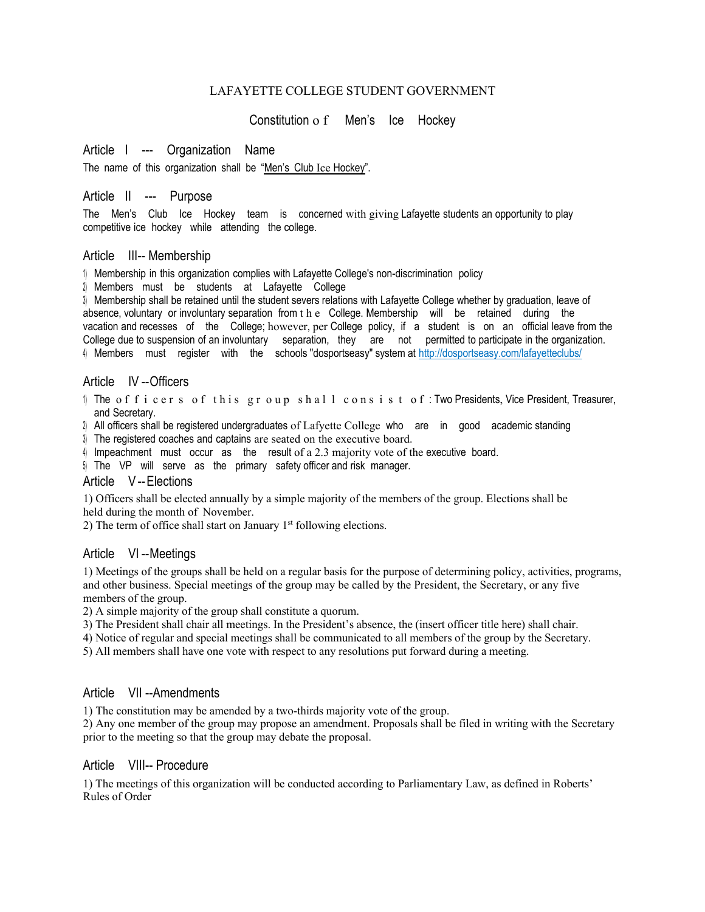### LAFAYETTE COLLEGE STUDENT GOVERNMENT

Constitution o f Men's Ice Hockey

# Article I --- Organization Name

The name of this organization shall be "Men's Club Ice Hockey".

### Article II --- Purpose

The Men's Club Ice Hockey team is concerned with giving Lafayette students an opportunity to play competitive ice hockey while attending the college.

### Article III-- Membership

1) Membership in this organization complies with Lafayette College's non-discrimination policy

2) Members must be students at Lafayette College

3) Membership shall be retained until the student severs relations with Lafayette College whether by graduation, leave of absence, voluntary or involuntary separation from the College. Membership will be retained during the vacation and recesses of the College; however, per College policy, if a student is on an official leave from the College due to suspension of an involuntary separation, they are not permitted to participate in the organization. 4) Members must register with the schools "dosportseasy" system at http://dosportseasy.com/lafayetteclubs/

### Article IV --Officers

1) The officers of this group shall consist of: Two Presidents, Vice President, Treasurer, and Secretary.

2) All officers shall be registered undergraduates of Lafyette College who are in good academic standing

3) The registered coaches and captains are seated on the executive board.

4) Impeachment must occur as the result of a 2.3 majority vote of the executive board.

5) The VP will serve as the primary safety officer and risk manager.

### Article V--Elections

1) Officers shall be elected annually by a simple majority of the members of the group. Elections shall be held during the month of November.

2) The term of office shall start on January 1st following elections.

## Article VI --Meetings

1) Meetings of the groups shall be held on a regular basis for the purpose of determining policy, activities, programs, and other business. Special meetings of the group may be called by the President, the Secretary, or any five members of the group.

2) A simple majority of the group shall constitute a quorum.

3) The President shall chair all meetings. In the President's absence, the (insert officer title here) shall chair.

4) Notice of regular and special meetings shall be communicated to all members of the group by the Secretary.

5) All members shall have one vote with respect to any resolutions put forward during a meeting.

## Article VII --Amendments

1) The constitution may be amended by a two-thirds majority vote of the group.

2) Any one member of the group may propose an amendment. Proposals shall be filed in writing with the Secretary prior to the meeting so that the group may debate the proposal.

### Article VIII-- Procedure

1) The meetings of this organization will be conducted according to Parliamentary Law, as defined in Roberts' Rules of Order